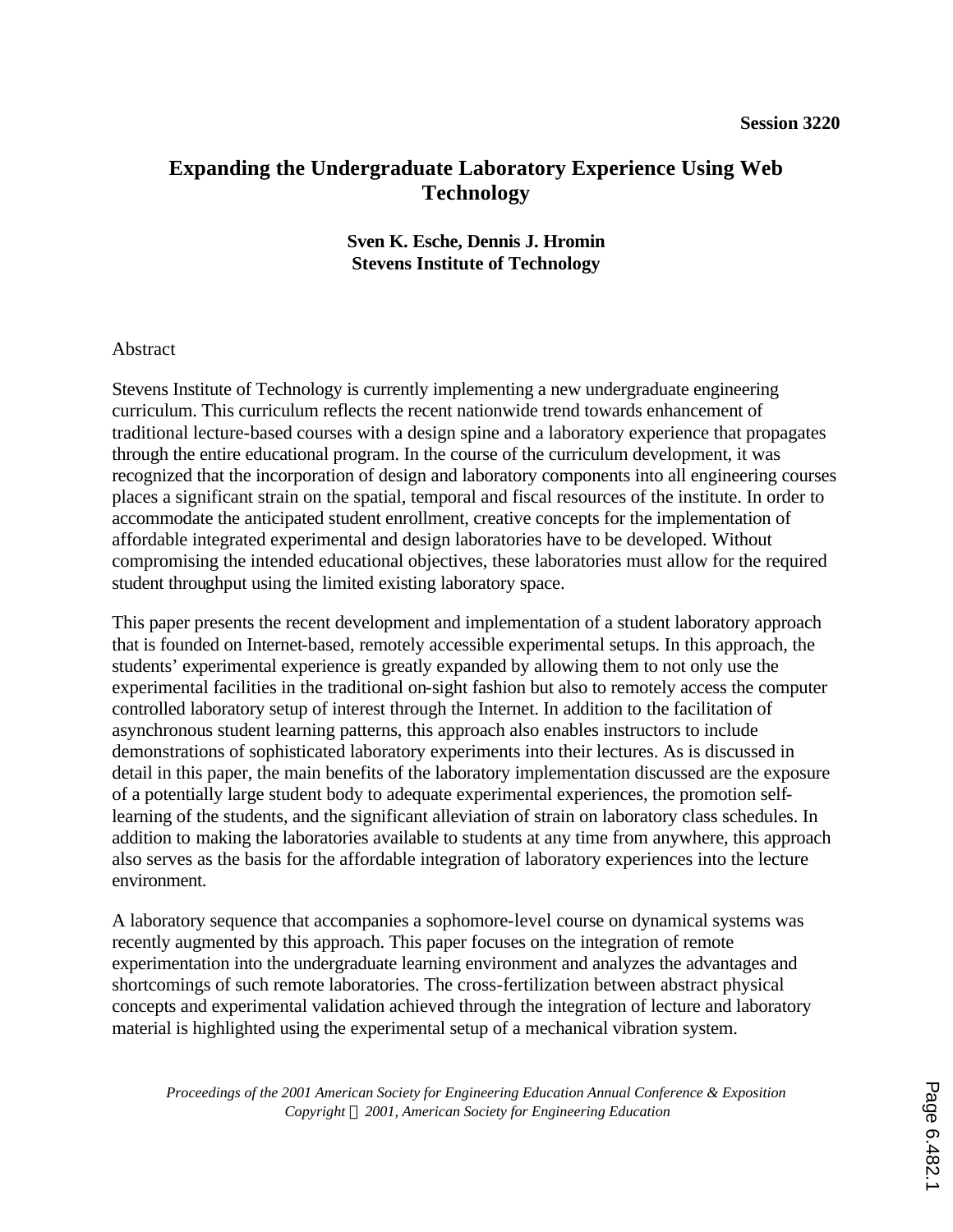# **Expanding the Undergraduate Laboratory Experience Using Web Technology**

## **Sven K. Esche, Dennis J. Hromin Stevens Institute of Technology**

#### Abstract

Stevens Institute of Technology is currently implementing a new undergraduate engineering curriculum. This curriculum reflects the recent nationwide trend towards enhancement of traditional lecture-based courses with a design spine and a laboratory experience that propagates through the entire educational program. In the course of the curriculum development, it was recognized that the incorporation of design and laboratory components into all engineering courses places a significant strain on the spatial, temporal and fiscal resources of the institute. In order to accommodate the anticipated student enrollment, creative concepts for the implementation of affordable integrated experimental and design laboratories have to be developed. Without compromising the intended educational objectives, these laboratories must allow for the required student throughput using the limited existing laboratory space.

This paper presents the recent development and implementation of a student laboratory approach that is founded on Internet-based, remotely accessible experimental setups. In this approach, the students' experimental experience is greatly expanded by allowing them to not only use the experimental facilities in the traditional on-sight fashion but also to remotely access the computer controlled laboratory setup of interest through the Internet. In addition to the facilitation of asynchronous student learning patterns, this approach also enables instructors to include demonstrations of sophisticated laboratory experiments into their lectures. As is discussed in detail in this paper, the main benefits of the laboratory implementation discussed are the exposure of a potentially large student body to adequate experimental experiences, the promotion selflearning of the students, and the significant alleviation of strain on laboratory class schedules. In addition to making the laboratories available to students at any time from anywhere, this approach also serves as the basis for the affordable integration of laboratory experiences into the lecture environment.

A laboratory sequence that accompanies a sophomore-level course on dynamical systems was recently augmented by this approach. This paper focuses on the integration of remote experimentation into the undergraduate learning environment and analyzes the advantages and shortcomings of such remote laboratories. The cross-fertilization between abstract physical concepts and experimental validation achieved through the integration of lecture and laboratory material is highlighted using the experimental setup of a mechanical vibration system.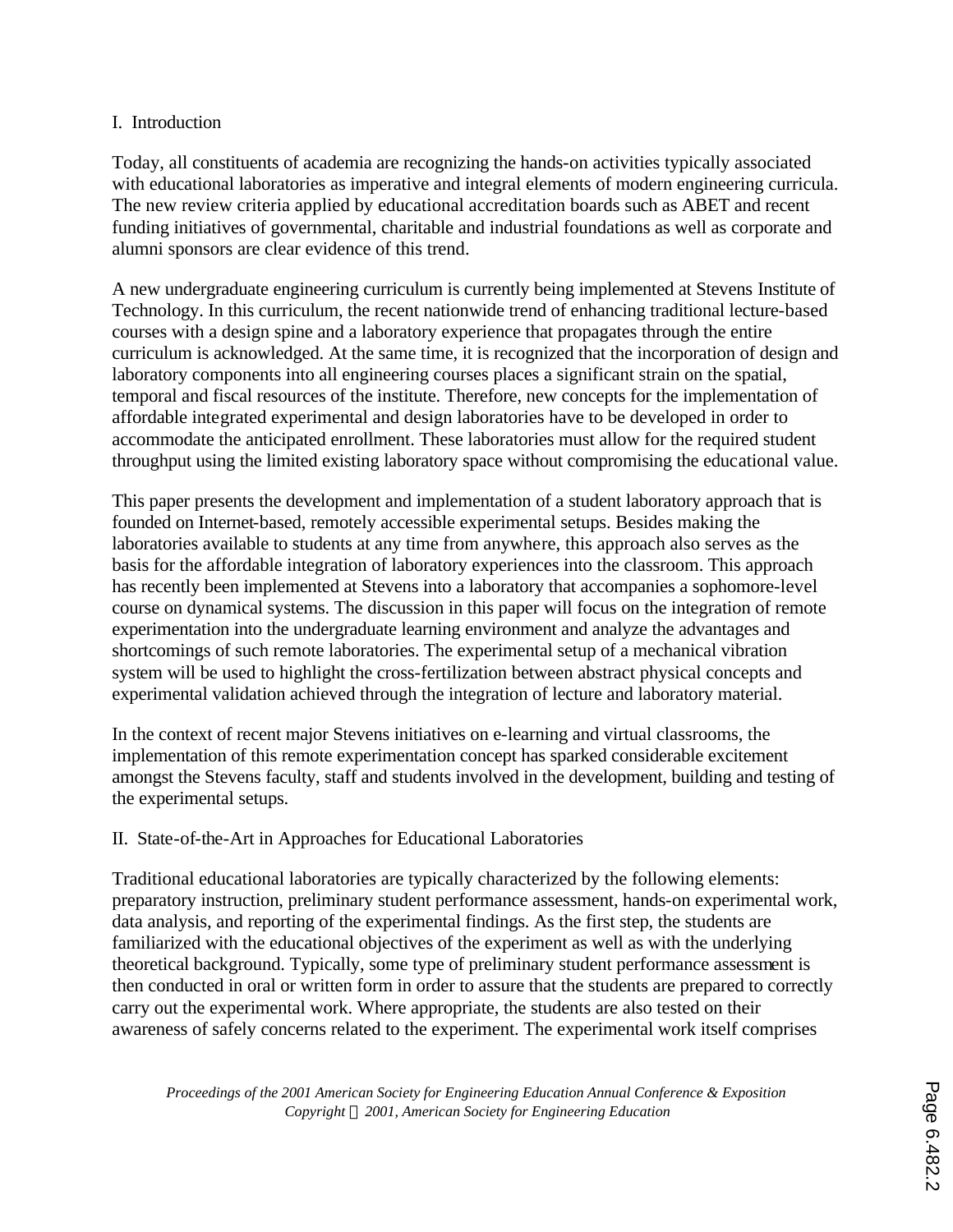## I. Introduction

Today, all constituents of academia are recognizing the hands-on activities typically associated with educational laboratories as imperative and integral elements of modern engineering curricula. The new review criteria applied by educational accreditation boards such as ABET and recent funding initiatives of governmental, charitable and industrial foundations as well as corporate and alumni sponsors are clear evidence of this trend.

A new undergraduate engineering curriculum is currently being implemented at Stevens Institute of Technology. In this curriculum, the recent nationwide trend of enhancing traditional lecture-based courses with a design spine and a laboratory experience that propagates through the entire curriculum is acknowledged. At the same time, it is recognized that the incorporation of design and laboratory components into all engineering courses places a significant strain on the spatial, temporal and fiscal resources of the institute. Therefore, new concepts for the implementation of affordable integrated experimental and design laboratories have to be developed in order to accommodate the anticipated enrollment. These laboratories must allow for the required student throughput using the limited existing laboratory space without compromising the educational value.

This paper presents the development and implementation of a student laboratory approach that is founded on Internet-based, remotely accessible experimental setups. Besides making the laboratories available to students at any time from anywhere, this approach also serves as the basis for the affordable integration of laboratory experiences into the classroom. This approach has recently been implemented at Stevens into a laboratory that accompanies a sophomore-level course on dynamical systems. The discussion in this paper will focus on the integration of remote experimentation into the undergraduate learning environment and analyze the advantages and shortcomings of such remote laboratories. The experimental setup of a mechanical vibration system will be used to highlight the cross-fertilization between abstract physical concepts and experimental validation achieved through the integration of lecture and laboratory material.

In the context of recent major Stevens initiatives on e-learning and virtual classrooms, the implementation of this remote experimentation concept has sparked considerable excitement amongst the Stevens faculty, staff and students involved in the development, building and testing of the experimental setups.

## II. State-of-the-Art in Approaches for Educational Laboratories

Traditional educational laboratories are typically characterized by the following elements: preparatory instruction, preliminary student performance assessment, hands-on experimental work, data analysis, and reporting of the experimental findings. As the first step, the students are familiarized with the educational objectives of the experiment as well as with the underlying theoretical background. Typically, some type of preliminary student performance assessment is then conducted in oral or written form in order to assure that the students are prepared to correctly carry out the experimental work. Where appropriate, the students are also tested on their awareness of safely concerns related to the experiment. The experimental work itself comprises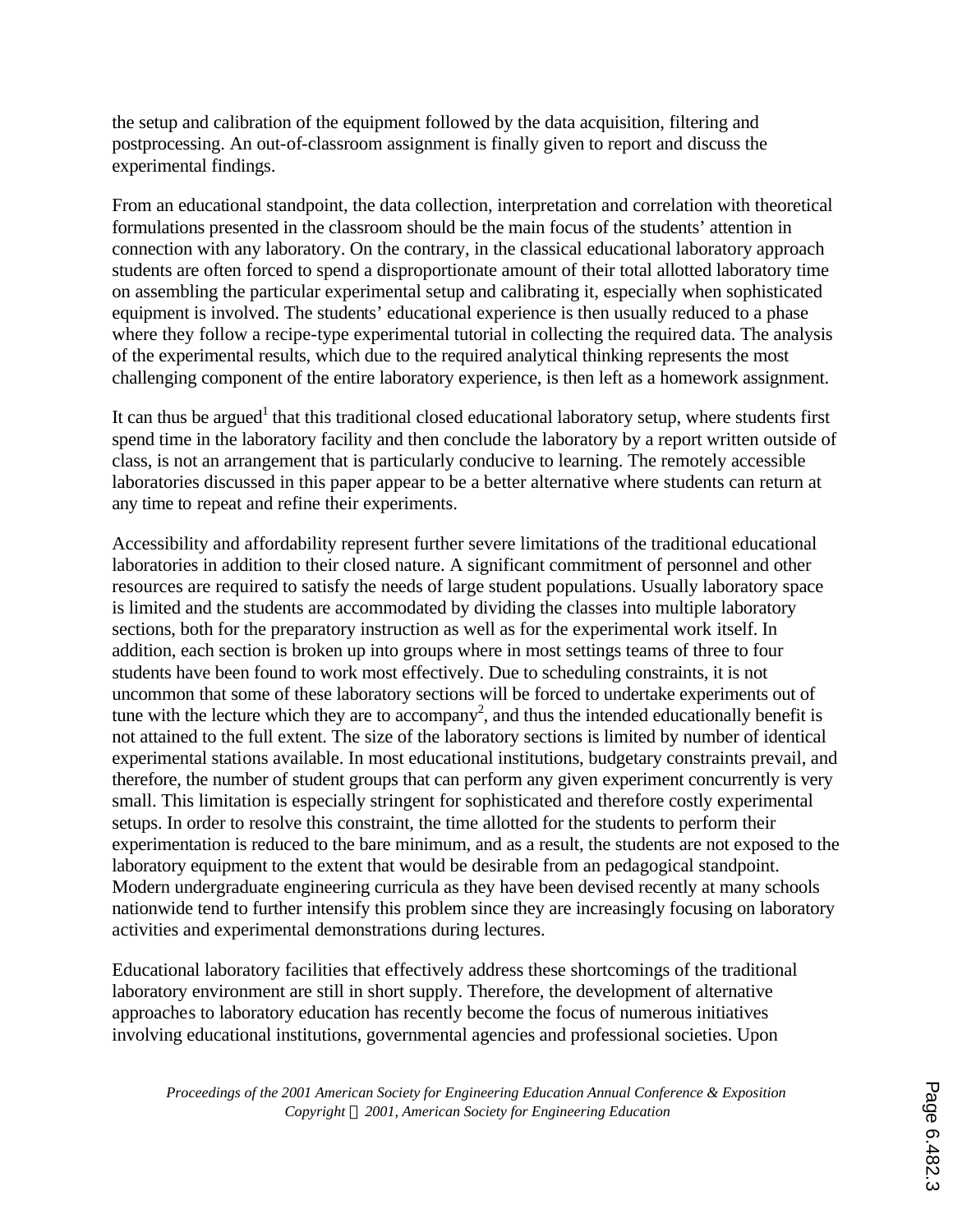the setup and calibration of the equipment followed by the data acquisition, filtering and postprocessing. An out-of-classroom assignment is finally given to report and discuss the experimental findings.

From an educational standpoint, the data collection, interpretation and correlation with theoretical formulations presented in the classroom should be the main focus of the students' attention in connection with any laboratory. On the contrary, in the classical educational laboratory approach students are often forced to spend a disproportionate amount of their total allotted laboratory time on assembling the particular experimental setup and calibrating it, especially when sophisticated equipment is involved. The students' educational experience is then usually reduced to a phase where they follow a recipe-type experimental tutorial in collecting the required data. The analysis of the experimental results, which due to the required analytical thinking represents the most challenging component of the entire laboratory experience, is then left as a homework assignment.

It can thus be argued<sup>1</sup> that this traditional closed educational laboratory setup, where students first spend time in the laboratory facility and then conclude the laboratory by a report written outside of class, is not an arrangement that is particularly conducive to learning. The remotely accessible laboratories discussed in this paper appear to be a better alternative where students can return at any time to repeat and refine their experiments.

Accessibility and affordability represent further severe limitations of the traditional educational laboratories in addition to their closed nature. A significant commitment of personnel and other resources are required to satisfy the needs of large student populations. Usually laboratory space is limited and the students are accommodated by dividing the classes into multiple laboratory sections, both for the preparatory instruction as well as for the experimental work itself. In addition, each section is broken up into groups where in most settings teams of three to four students have been found to work most effectively. Due to scheduling constraints, it is not uncommon that some of these laboratory sections will be forced to undertake experiments out of tune with the lecture which they are to accompany<sup>2</sup>, and thus the intended educationally benefit is not attained to the full extent. The size of the laboratory sections is limited by number of identical experimental stations available. In most educational institutions, budgetary constraints prevail, and therefore, the number of student groups that can perform any given experiment concurrently is very small. This limitation is especially stringent for sophisticated and therefore costly experimental setups. In order to resolve this constraint, the time allotted for the students to perform their experimentation is reduced to the bare minimum, and as a result, the students are not exposed to the laboratory equipment to the extent that would be desirable from an pedagogical standpoint. Modern undergraduate engineering curricula as they have been devised recently at many schools nationwide tend to further intensify this problem since they are increasingly focusing on laboratory activities and experimental demonstrations during lectures.

Educational laboratory facilities that effectively address these shortcomings of the traditional laboratory environment are still in short supply. Therefore, the development of alternative approaches to laboratory education has recently become the focus of numerous initiatives involving educational institutions, governmental agencies and professional societies. Upon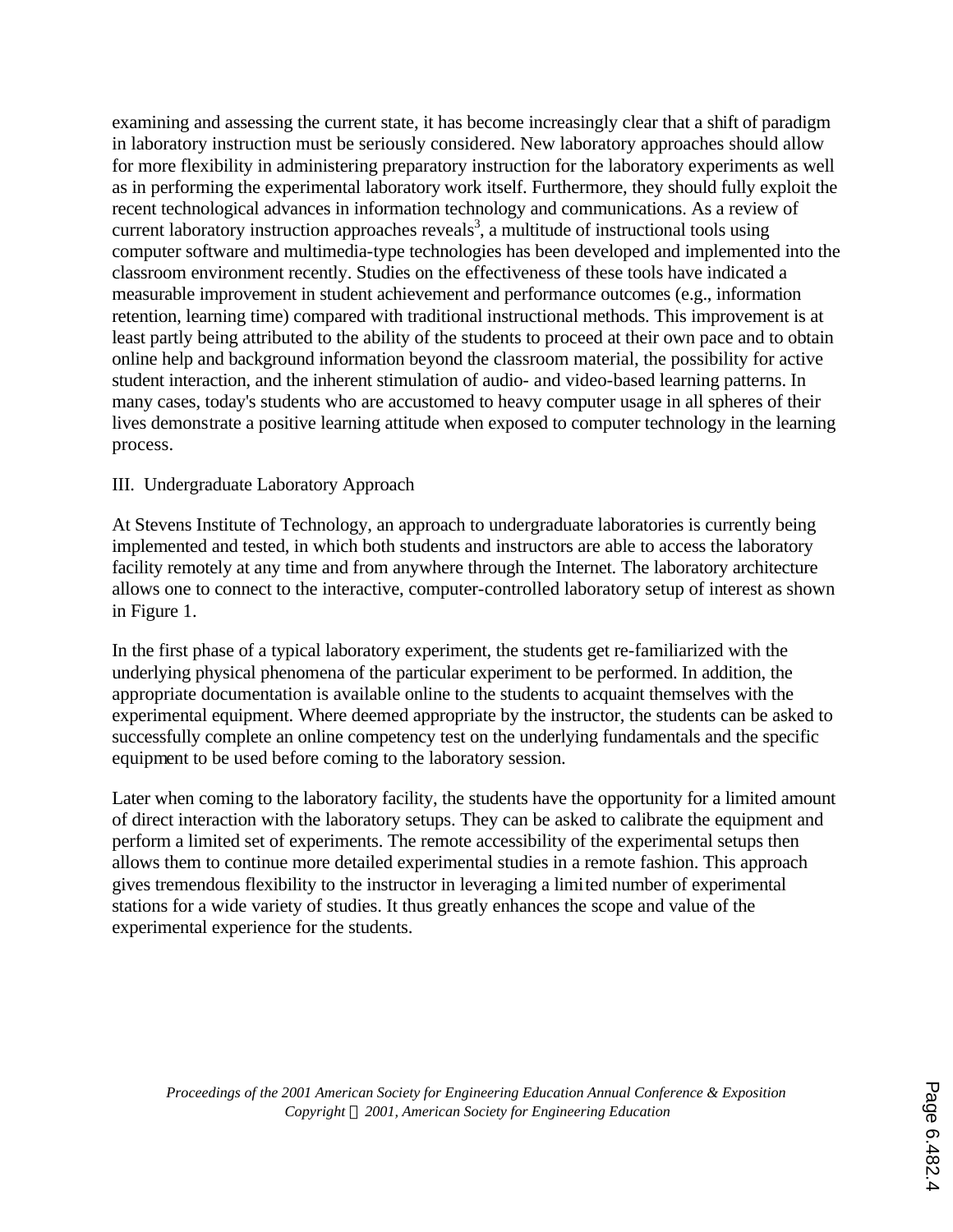examining and assessing the current state, it has become increasingly clear that a shift of paradigm in laboratory instruction must be seriously considered. New laboratory approaches should allow for more flexibility in administering preparatory instruction for the laboratory experiments as well as in performing the experimental laboratory work itself. Furthermore, they should fully exploit the recent technological advances in information technology and communications. As a review of current laboratory instruction approaches reveals<sup>3</sup>, a multitude of instructional tools using computer software and multimedia-type technologies has been developed and implemented into the classroom environment recently. Studies on the effectiveness of these tools have indicated a measurable improvement in student achievement and performance outcomes (e.g., information retention, learning time) compared with traditional instructional methods. This improvement is at least partly being attributed to the ability of the students to proceed at their own pace and to obtain online help and background information beyond the classroom material, the possibility for active student interaction, and the inherent stimulation of audio- and video-based learning patterns. In many cases, today's students who are accustomed to heavy computer usage in all spheres of their lives demonstrate a positive learning attitude when exposed to computer technology in the learning process.

## III. Undergraduate Laboratory Approach

At Stevens Institute of Technology, an approach to undergraduate laboratories is currently being implemented and tested, in which both students and instructors are able to access the laboratory facility remotely at any time and from anywhere through the Internet. The laboratory architecture allows one to connect to the interactive, computer-controlled laboratory setup of interest as shown in Figure 1.

In the first phase of a typical laboratory experiment, the students get re-familiarized with the underlying physical phenomena of the particular experiment to be performed. In addition, the appropriate documentation is available online to the students to acquaint themselves with the experimental equipment. Where deemed appropriate by the instructor, the students can be asked to successfully complete an online competency test on the underlying fundamentals and the specific equipment to be used before coming to the laboratory session.

Later when coming to the laboratory facility, the students have the opportunity for a limited amount of direct interaction with the laboratory setups. They can be asked to calibrate the equipment and perform a limited set of experiments. The remote accessibility of the experimental setups then allows them to continue more detailed experimental studies in a remote fashion. This approach gives tremendous flexibility to the instructor in leveraging a limited number of experimental stations for a wide variety of studies. It thus greatly enhances the scope and value of the experimental experience for the students.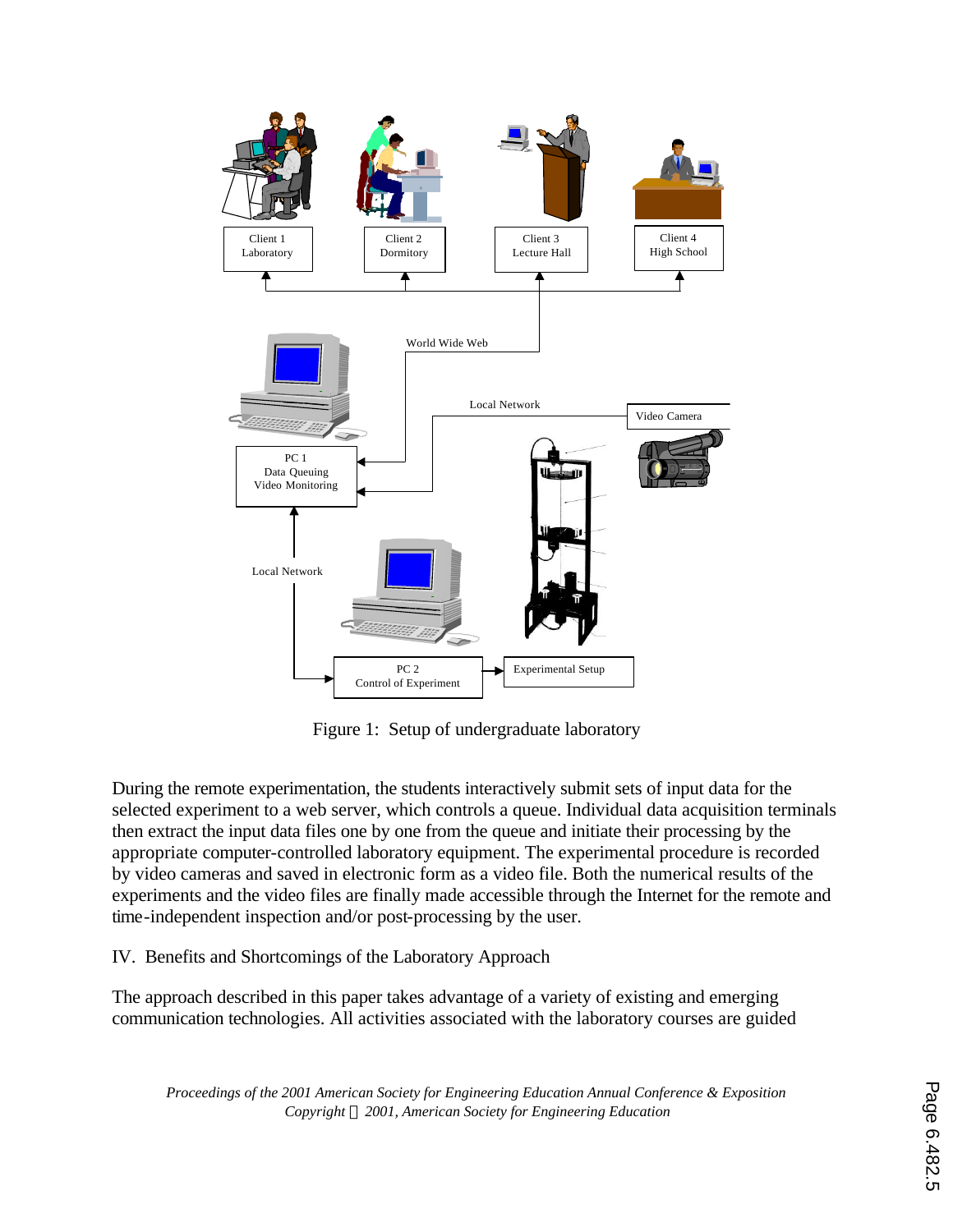

Figure 1: Setup of undergraduate laboratory

During the remote experimentation, the students interactively submit sets of input data for the selected experiment to a web server, which controls a queue. Individual data acquisition terminals then extract the input data files one by one from the queue and initiate their processing by the appropriate computer-controlled laboratory equipment. The experimental procedure is recorded by video cameras and saved in electronic form as a video file. Both the numerical results of the experiments and the video files are finally made accessible through the Internet for the remote and time-independent inspection and/or post-processing by the user.

IV. Benefits and Shortcomings of the Laboratory Approach

The approach described in this paper takes advantage of a variety of existing and emerging communication technologies. All activities associated with the laboratory courses are guided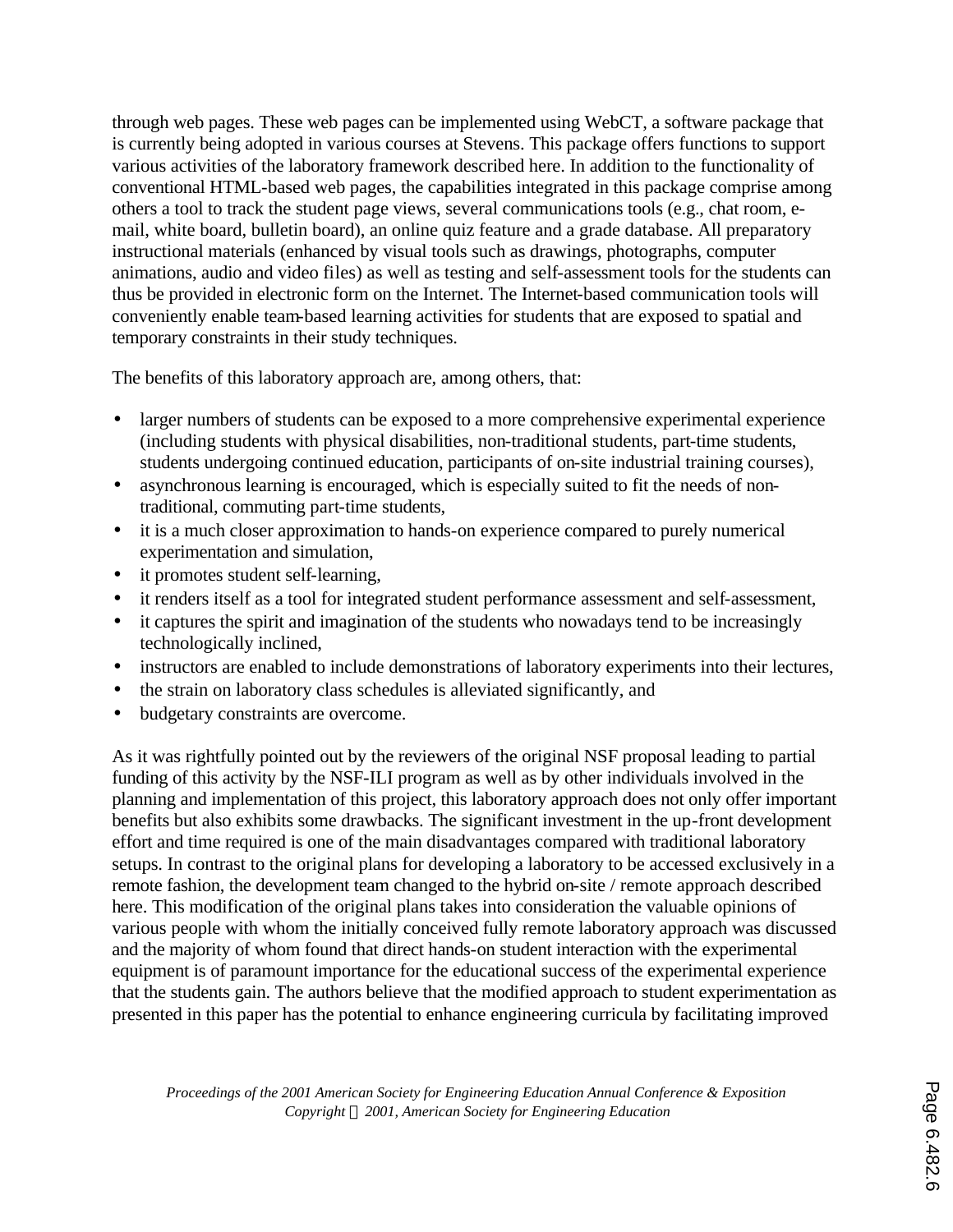through web pages. These web pages can be implemented using WebCT, a software package that is currently being adopted in various courses at Stevens. This package offers functions to support various activities of the laboratory framework described here. In addition to the functionality of conventional HTML-based web pages, the capabilities integrated in this package comprise among others a tool to track the student page views, several communications tools (e.g., chat room, email, white board, bulletin board), an online quiz feature and a grade database. All preparatory instructional materials (enhanced by visual tools such as drawings, photographs, computer animations, audio and video files) as well as testing and self-assessment tools for the students can thus be provided in electronic form on the Internet. The Internet-based communication tools will conveniently enable team-based learning activities for students that are exposed to spatial and temporary constraints in their study techniques.

The benefits of this laboratory approach are, among others, that:

- larger numbers of students can be exposed to a more comprehensive experimental experience (including students with physical disabilities, non-traditional students, part-time students, students undergoing continued education, participants of on-site industrial training courses),
- asynchronous learning is encouraged, which is especially suited to fit the needs of nontraditional, commuting part-time students,
- it is a much closer approximation to hands-on experience compared to purely numerical experimentation and simulation,
- it promotes student self-learning,
- it renders itself as a tool for integrated student performance assessment and self-assessment,
- it captures the spirit and imagination of the students who nowadays tend to be increasingly technologically inclined,
- instructors are enabled to include demonstrations of laboratory experiments into their lectures,
- the strain on laboratory class schedules is alleviated significantly, and
- budgetary constraints are overcome.

As it was rightfully pointed out by the reviewers of the original NSF proposal leading to partial funding of this activity by the NSF-ILI program as well as by other individuals involved in the planning and implementation of this project, this laboratory approach does not only offer important benefits but also exhibits some drawbacks. The significant investment in the up-front development effort and time required is one of the main disadvantages compared with traditional laboratory setups. In contrast to the original plans for developing a laboratory to be accessed exclusively in a remote fashion, the development team changed to the hybrid on-site / remote approach described here. This modification of the original plans takes into consideration the valuable opinions of various people with whom the initially conceived fully remote laboratory approach was discussed and the majority of whom found that direct hands-on student interaction with the experimental equipment is of paramount importance for the educational success of the experimental experience that the students gain. The authors believe that the modified approach to student experimentation as presented in this paper has the potential to enhance engineering curricula by facilitating improved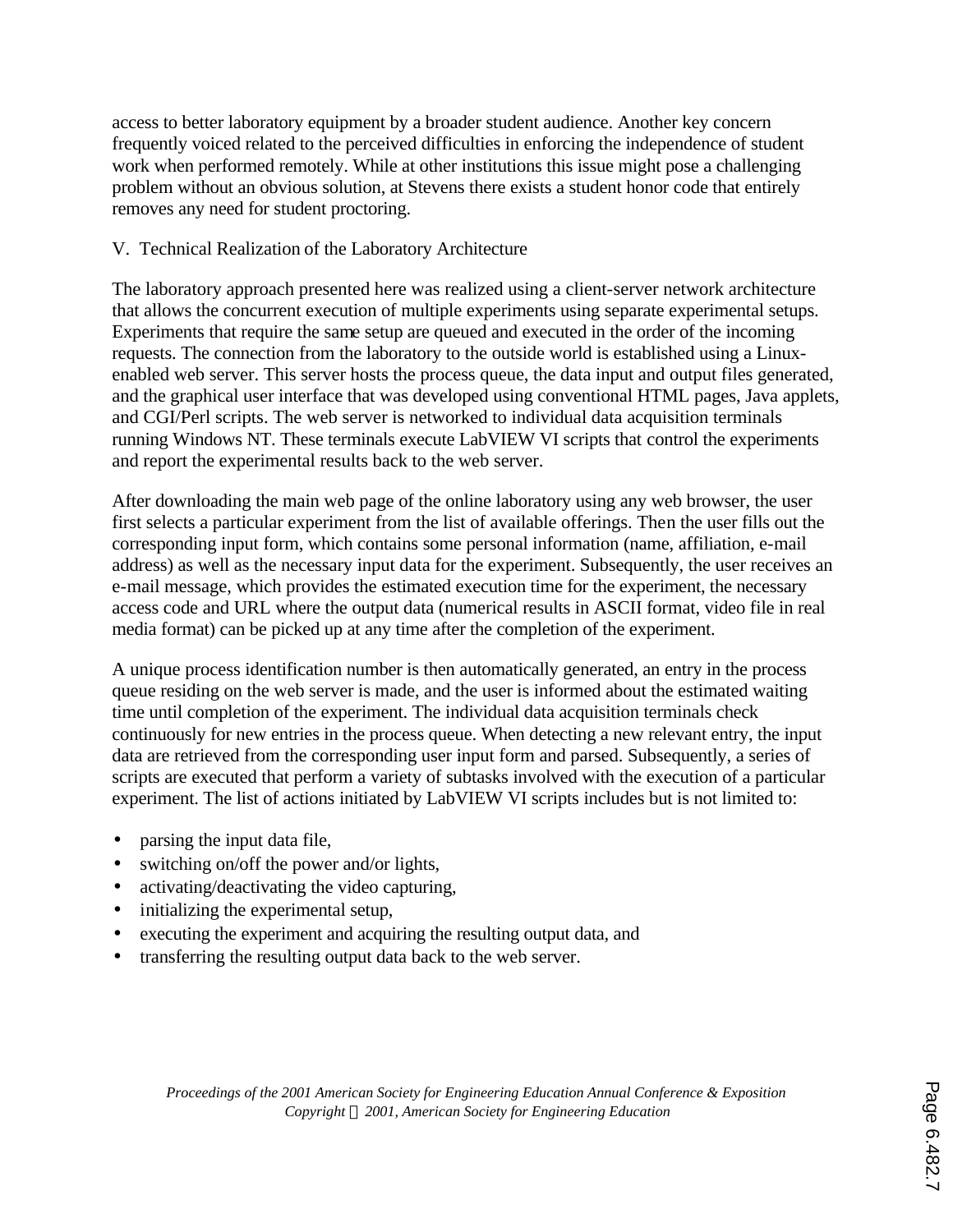access to better laboratory equipment by a broader student audience. Another key concern frequently voiced related to the perceived difficulties in enforcing the independence of student work when performed remotely. While at other institutions this issue might pose a challenging problem without an obvious solution, at Stevens there exists a student honor code that entirely removes any need for student proctoring.

## V. Technical Realization of the Laboratory Architecture

The laboratory approach presented here was realized using a client-server network architecture that allows the concurrent execution of multiple experiments using separate experimental setups. Experiments that require the same setup are queued and executed in the order of the incoming requests. The connection from the laboratory to the outside world is established using a Linuxenabled web server. This server hosts the process queue, the data input and output files generated, and the graphical user interface that was developed using conventional HTML pages, Java applets, and CGI/Perl scripts. The web server is networked to individual data acquisition terminals running Windows NT. These terminals execute LabVIEW VI scripts that control the experiments and report the experimental results back to the web server.

After downloading the main web page of the online laboratory using any web browser, the user first selects a particular experiment from the list of available offerings. Then the user fills out the corresponding input form, which contains some personal information (name, affiliation, e-mail address) as well as the necessary input data for the experiment. Subsequently, the user receives an e-mail message, which provides the estimated execution time for the experiment, the necessary access code and URL where the output data (numerical results in ASCII format, video file in real media format) can be picked up at any time after the completion of the experiment.

A unique process identification number is then automatically generated, an entry in the process queue residing on the web server is made, and the user is informed about the estimated waiting time until completion of the experiment. The individual data acquisition terminals check continuously for new entries in the process queue. When detecting a new relevant entry, the input data are retrieved from the corresponding user input form and parsed. Subsequently, a series of scripts are executed that perform a variety of subtasks involved with the execution of a particular experiment. The list of actions initiated by LabVIEW VI scripts includes but is not limited to:

- parsing the input data file,
- switching on/off the power and/or lights,
- activating/deactivating the video capturing,
- initializing the experimental setup,
- executing the experiment and acquiring the resulting output data, and
- transferring the resulting output data back to the web server.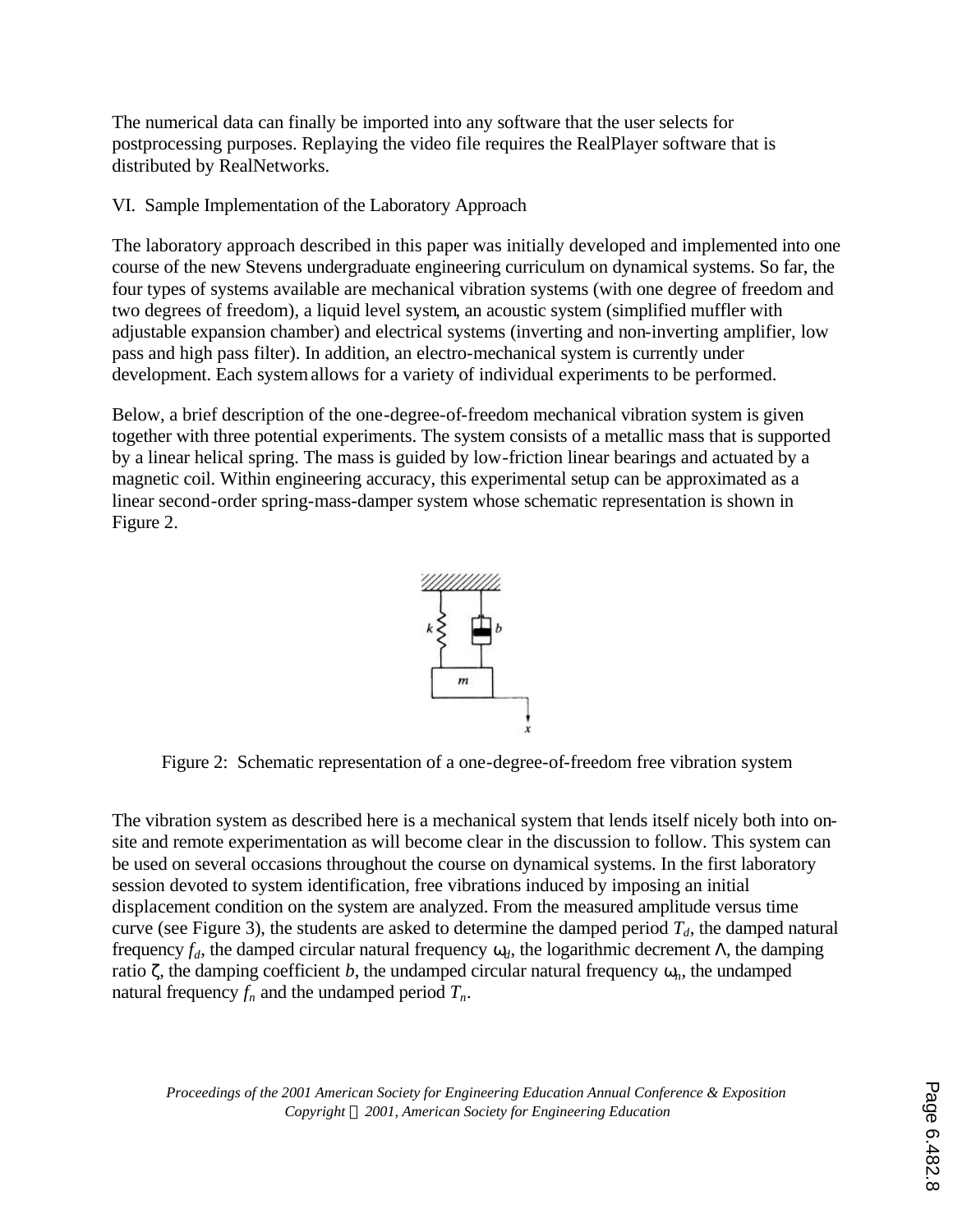The numerical data can finally be imported into any software that the user selects for postprocessing purposes. Replaying the video file requires the RealPlayer software that is distributed by RealNetworks.

VI. Sample Implementation of the Laboratory Approach

The laboratory approach described in this paper was initially developed and implemented into one course of the new Stevens undergraduate engineering curriculum on dynamical systems. So far, the four types of systems available are mechanical vibration systems (with one degree of freedom and two degrees of freedom), a liquid level system, an acoustic system (simplified muffler with adjustable expansion chamber) and electrical systems (inverting and non-inverting amplifier, low pass and high pass filter). In addition, an electro-mechanical system is currently under development. Each system allows for a variety of individual experiments to be performed.

Below, a brief description of the one-degree-of-freedom mechanical vibration system is given together with three potential experiments. The system consists of a metallic mass that is supported by a linear helical spring. The mass is guided by low-friction linear bearings and actuated by a magnetic coil. Within engineering accuracy, this experimental setup can be approximated as a linear second-order spring-mass-damper system whose schematic representation is shown in Figure 2.



Figure 2: Schematic representation of a one-degree-of-freedom free vibration system

The vibration system as described here is a mechanical system that lends itself nicely both into onsite and remote experimentation as will become clear in the discussion to follow. This system can be used on several occasions throughout the course on dynamical systems. In the first laboratory session devoted to system identification, free vibrations induced by imposing an initial displacement condition on the system are analyzed. From the measured amplitude versus time curve (see Figure 3), the students are asked to determine the damped period  $T_d$ , the damped natural frequency  $f_d$ , the damped circular natural frequency  $w_d$ , the logarithmic decrement *L*, the damping ratio **z**, the damping coefficient *b*, the undamped circular natural frequency  $w_n$ , the undamped natural frequency  $f_n$  and the undamped period  $T_n$ .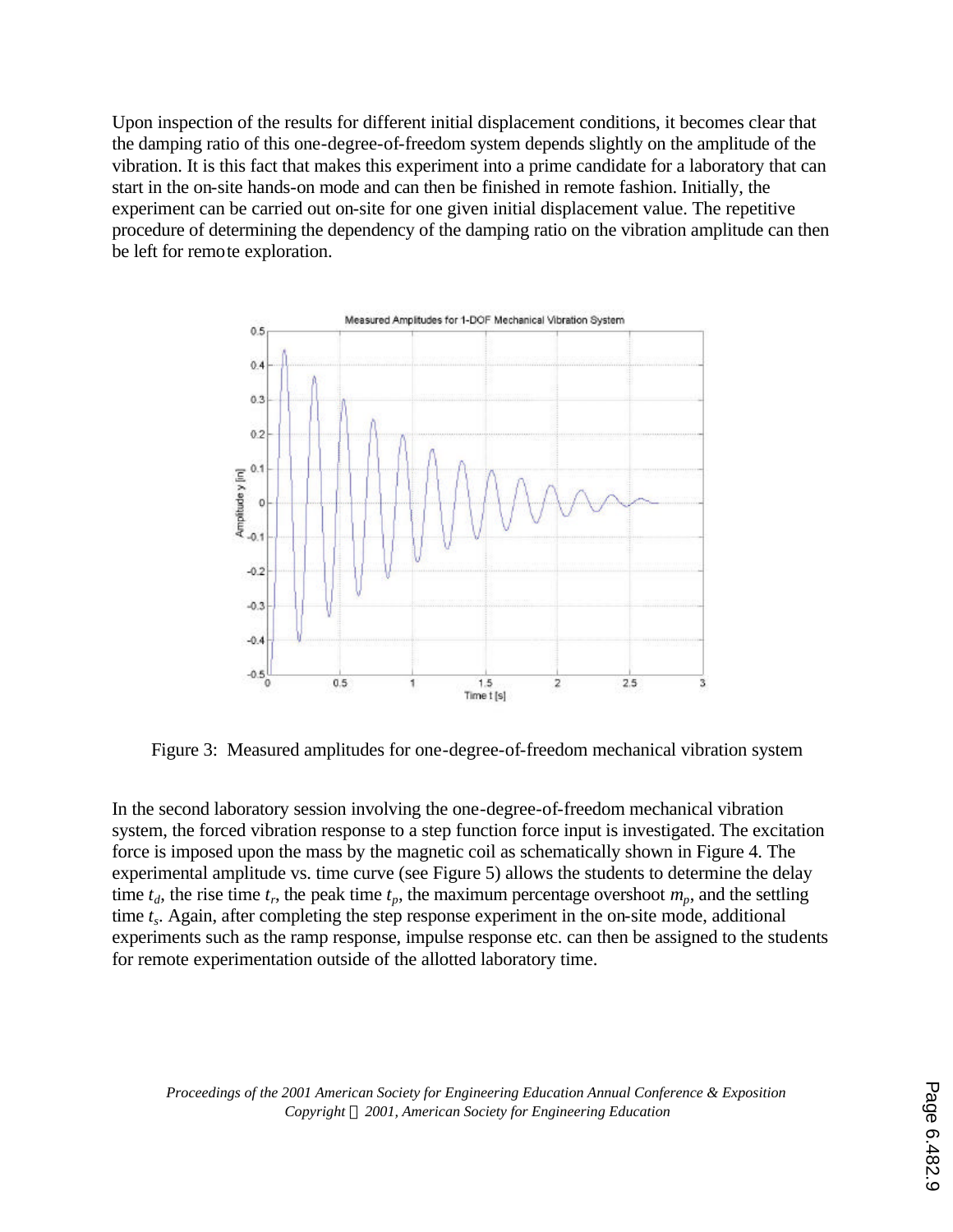Upon inspection of the results for different initial displacement conditions, it becomes clear that the damping ratio of this one-degree-of-freedom system depends slightly on the amplitude of the vibration. It is this fact that makes this experiment into a prime candidate for a laboratory that can start in the on-site hands-on mode and can then be finished in remote fashion. Initially, the experiment can be carried out on-site for one given initial displacement value. The repetitive procedure of determining the dependency of the damping ratio on the vibration amplitude can then be left for remote exploration.



Figure 3: Measured amplitudes for one-degree-of-freedom mechanical vibration system

In the second laboratory session involving the one-degree-of-freedom mechanical vibration system, the forced vibration response to a step function force input is investigated. The excitation force is imposed upon the mass by the magnetic coil as schematically shown in Figure 4. The experimental amplitude vs. time curve (see Figure 5) allows the students to determine the delay time  $t_d$ , the rise time  $t_r$ , the peak time  $t_p$ , the maximum percentage overshoot  $m_p$ , and the settling time *t<sup>s</sup>* . Again, after completing the step response experiment in the on-site mode, additional experiments such as the ramp response, impulse response etc. can then be assigned to the students for remote experimentation outside of the allotted laboratory time.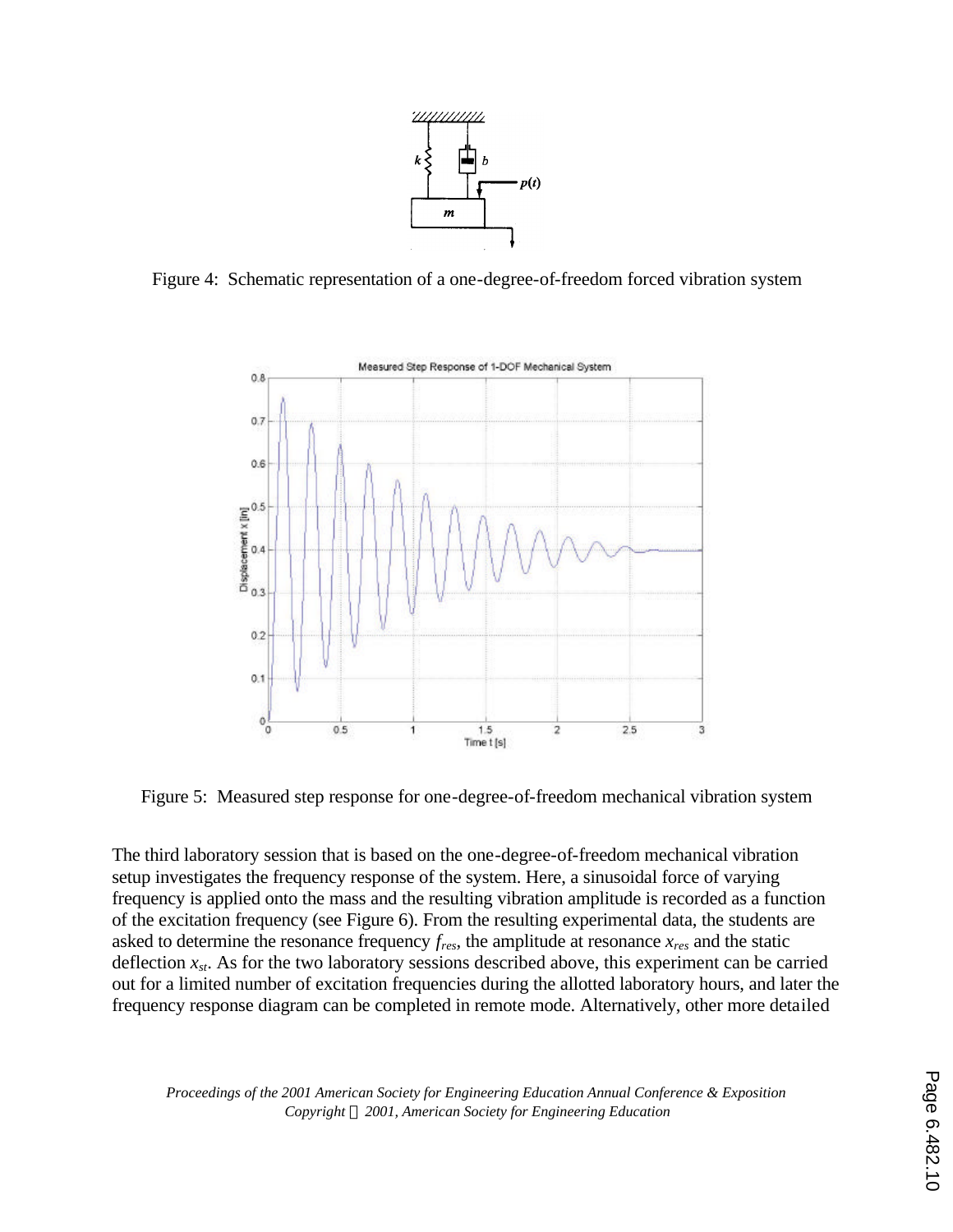

Figure 4: Schematic representation of a one-degree-of-freedom forced vibration system



Figure 5: Measured step response for one-degree-of-freedom mechanical vibration system

The third laboratory session that is based on the one-degree-of-freedom mechanical vibration setup investigates the frequency response of the system. Here, a sinusoidal force of varying frequency is applied onto the mass and the resulting vibration amplitude is recorded as a function of the excitation frequency (see Figure 6). From the resulting experimental data, the students are asked to determine the resonance frequency *fres*, the amplitude at resonance *xres* and the static deflection  $x_{st}$ . As for the two laboratory sessions described above, this experiment can be carried out for a limited number of excitation frequencies during the allotted laboratory hours, and later the frequency response diagram can be completed in remote mode. Alternatively, other more detailed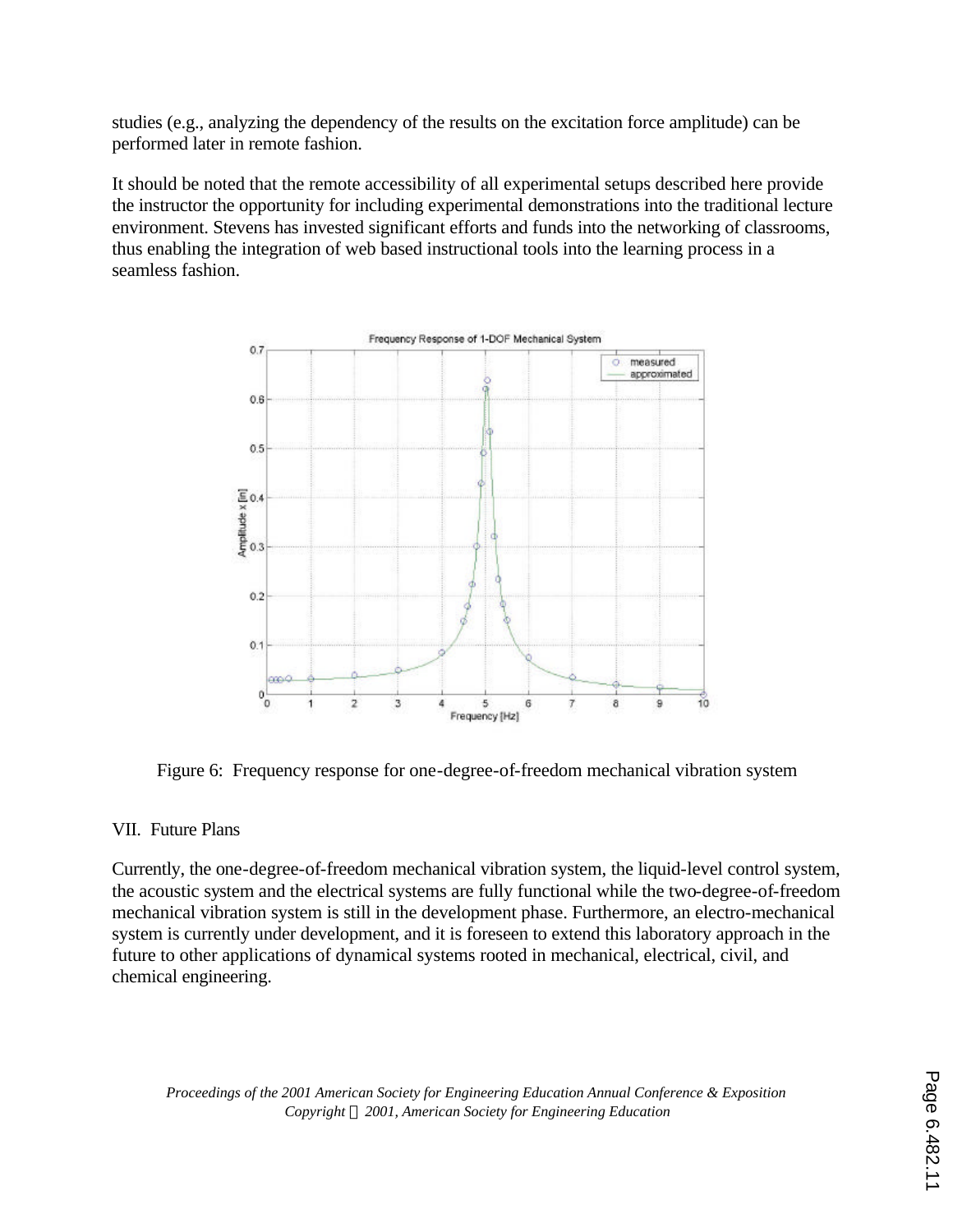studies (e.g., analyzing the dependency of the results on the excitation force amplitude) can be performed later in remote fashion.

It should be noted that the remote accessibility of all experimental setups described here provide the instructor the opportunity for including experimental demonstrations into the traditional lecture environment. Stevens has invested significant efforts and funds into the networking of classrooms, thus enabling the integration of web based instructional tools into the learning process in a seamless fashion.



Figure 6: Frequency response for one-degree-of-freedom mechanical vibration system

## VII. Future Plans

Currently, the one-degree-of-freedom mechanical vibration system, the liquid-level control system, the acoustic system and the electrical systems are fully functional while the two-degree-of-freedom mechanical vibration system is still in the development phase. Furthermore, an electro-mechanical system is currently under development, and it is foreseen to extend this laboratory approach in the future to other applications of dynamical systems rooted in mechanical, electrical, civil, and chemical engineering.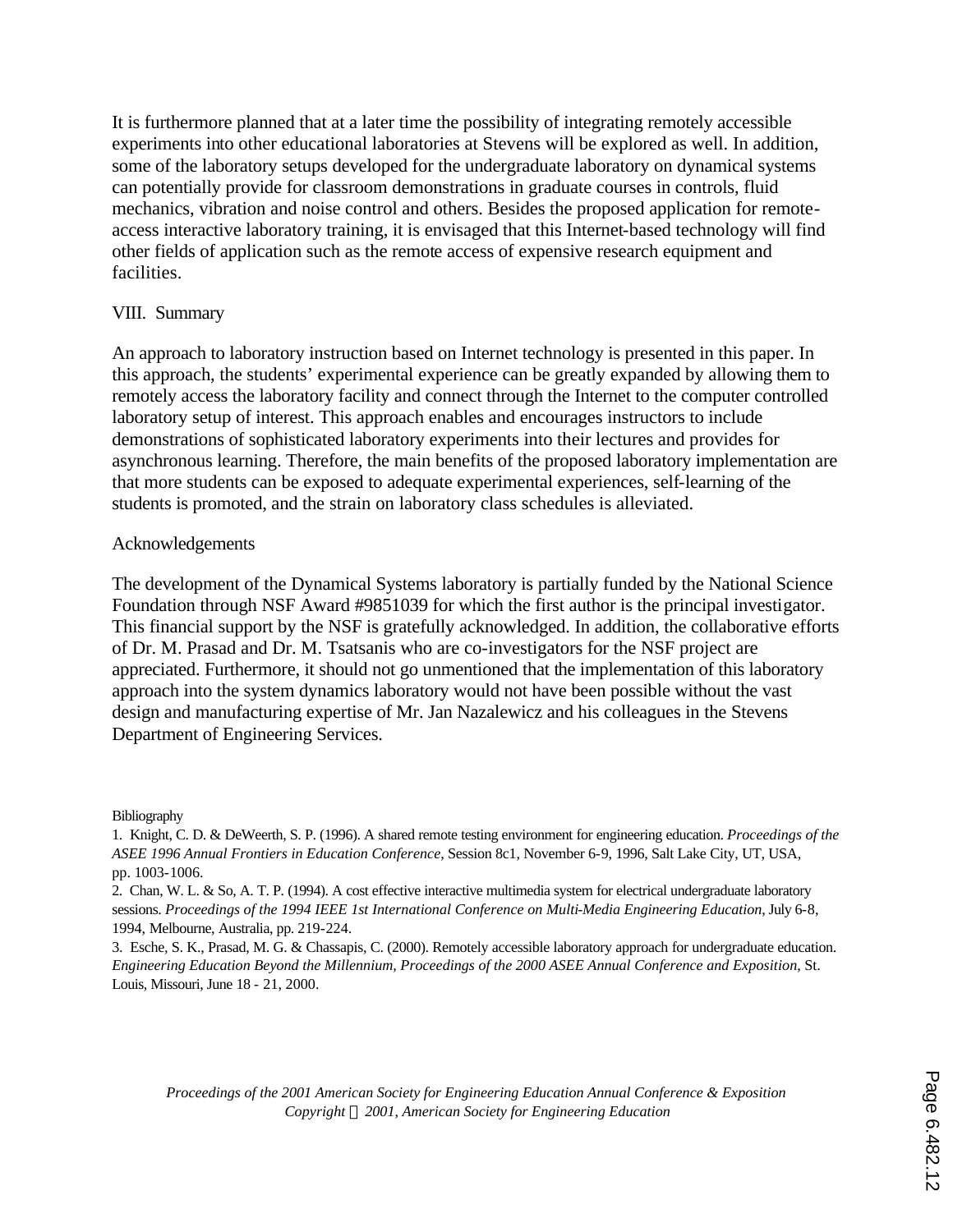It is furthermore planned that at a later time the possibility of integrating remotely accessible experiments into other educational laboratories at Stevens will be explored as well. In addition, some of the laboratory setups developed for the undergraduate laboratory on dynamical systems can potentially provide for classroom demonstrations in graduate courses in controls, fluid mechanics, vibration and noise control and others. Besides the proposed application for remoteaccess interactive laboratory training, it is envisaged that this Internet-based technology will find other fields of application such as the remote access of expensive research equipment and facilities.

## VIII. Summary

An approach to laboratory instruction based on Internet technology is presented in this paper. In this approach, the students' experimental experience can be greatly expanded by allowing them to remotely access the laboratory facility and connect through the Internet to the computer controlled laboratory setup of interest. This approach enables and encourages instructors to include demonstrations of sophisticated laboratory experiments into their lectures and provides for asynchronous learning. Therefore, the main benefits of the proposed laboratory implementation are that more students can be exposed to adequate experimental experiences, self-learning of the students is promoted, and the strain on laboratory class schedules is alleviated.

## Acknowledgements

The development of the Dynamical Systems laboratory is partially funded by the National Science Foundation through NSF Award #9851039 for which the first author is the principal investigator. This financial support by the NSF is gratefully acknowledged. In addition, the collaborative efforts of Dr. M. Prasad and Dr. M. Tsatsanis who are co-investigators for the NSF project are appreciated. Furthermore, it should not go unmentioned that the implementation of this laboratory approach into the system dynamics laboratory would not have been possible without the vast design and manufacturing expertise of Mr. Jan Nazalewicz and his colleagues in the Stevens Department of Engineering Services.

#### Bibliography

<sup>1.</sup> Knight, C. D. & DeWeerth, S. P. (1996). A shared remote testing environment for engineering education. *Proceedings of the ASEE 1996 Annual Frontiers in Education Conference*, Session 8c1, November 6-9, 1996, Salt Lake City, UT, USA, pp. 1003-1006.

<sup>2.</sup> Chan, W. L. & So, A. T. P. (1994). A cost effective interactive multimedia system for electrical undergraduate laboratory sessions. *Proceedings of the 1994 IEEE 1st International Conference on Multi-Media Engineering Education*, July 6-8, 1994, Melbourne, Australia, pp. 219-224.

<sup>3.</sup> Esche, S. K., Prasad, M. G. & Chassapis, C. (2000). Remotely accessible laboratory approach for undergraduate education. *Engineering Education Beyond the Millennium, Proceedings of the 2000 ASEE Annual Conference and Exposition*, St. Louis, Missouri, June 18 - 21, 2000.